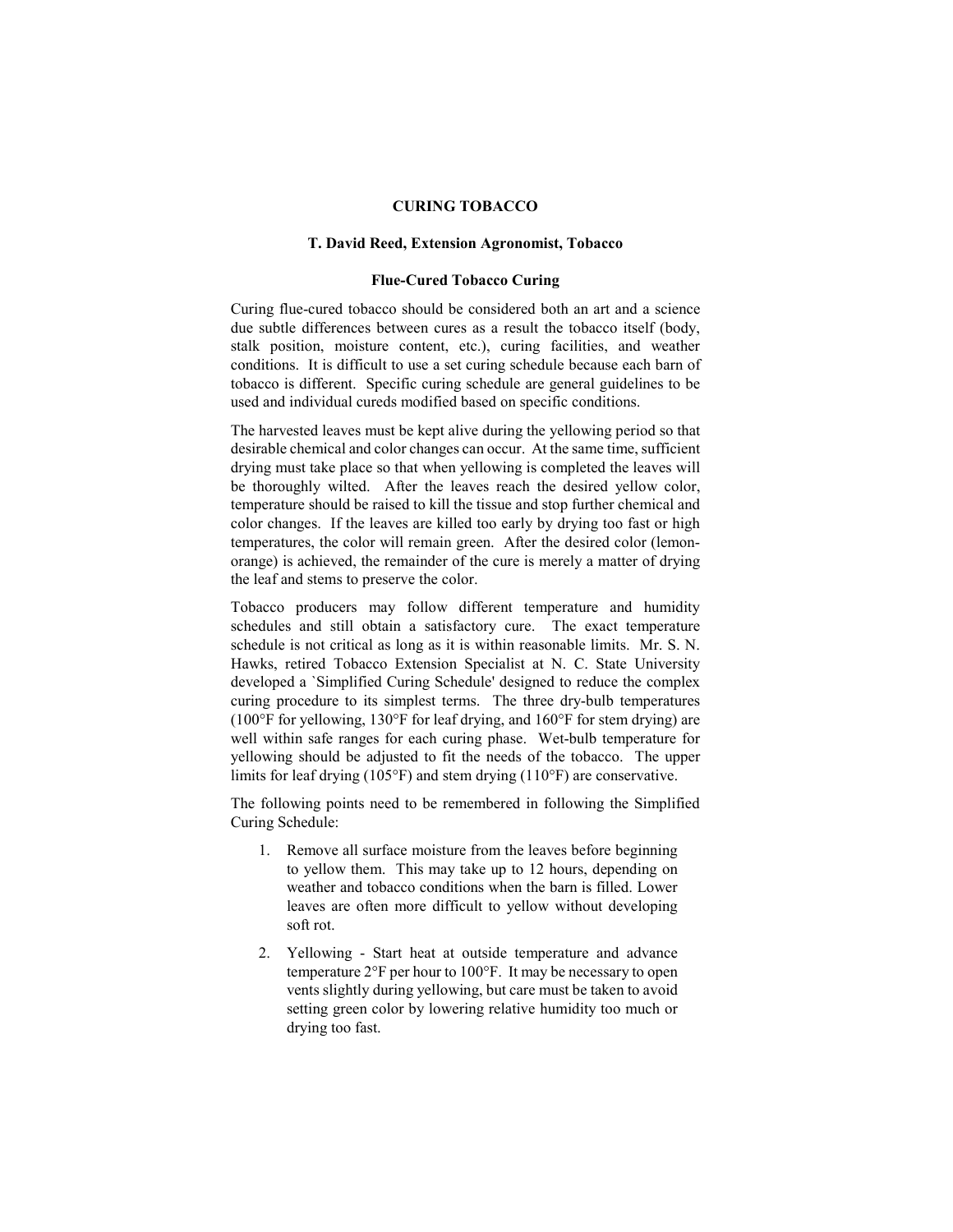# **CURING TOBACCO**

### **T. David Reed, Extension Agronomist, Tobacco**

### **Flue-Cured Tobacco Curing**

Curing flue-cured tobacco should be considered both an art and a science due subtle differences between cures as a result the tobacco itself (body, stalk position, moisture content, etc.), curing facilities, and weather conditions. It is difficult to use a set curing schedule because each barn of tobacco is different. Specific curing schedule are general guidelines to be used and individual cureds modified based on specific conditions.

The harvested leaves must be kept alive during the yellowing period so that desirable chemical and color changes can occur. At the same time, sufficient drying must take place so that when yellowing is completed the leaves will be thoroughly wilted. After the leaves reach the desired yellow color, temperature should be raised to kill the tissue and stop further chemical and color changes. If the leaves are killed too early by drying too fast or high temperatures, the color will remain green. After the desired color (lemonorange) is achieved, the remainder of the cure is merely a matter of drying the leaf and stems to preserve the color.

Tobacco producers may follow different temperature and humidity schedules and still obtain a satisfactory cure. The exact temperature schedule is not critical as long as it is within reasonable limits. Mr. S. N. Hawks, retired Tobacco Extension Specialist at N. C. State University developed a `Simplified Curing Schedule' designed to reduce the complex curing procedure to its simplest terms. The three dry-bulb temperatures (100°F for yellowing, 130°F for leaf drying, and 160°F for stem drying) are well within safe ranges for each curing phase. Wet-bulb temperature for yellowing should be adjusted to fit the needs of the tobacco. The upper limits for leaf drying (105°F) and stem drying (110°F) are conservative.

The following points need to be remembered in following the Simplified Curing Schedule:

- 1. Remove all surface moisture from the leaves before beginning to yellow them. This may take up to 12 hours, depending on weather and tobacco conditions when the barn is filled. Lower leaves are often more difficult to yellow without developing soft rot.
- 2. Yellowing Start heat at outside temperature and advance temperature 2°F per hour to 100°F. It may be necessary to open vents slightly during yellowing, but care must be taken to avoid setting green color by lowering relative humidity too much or drying too fast.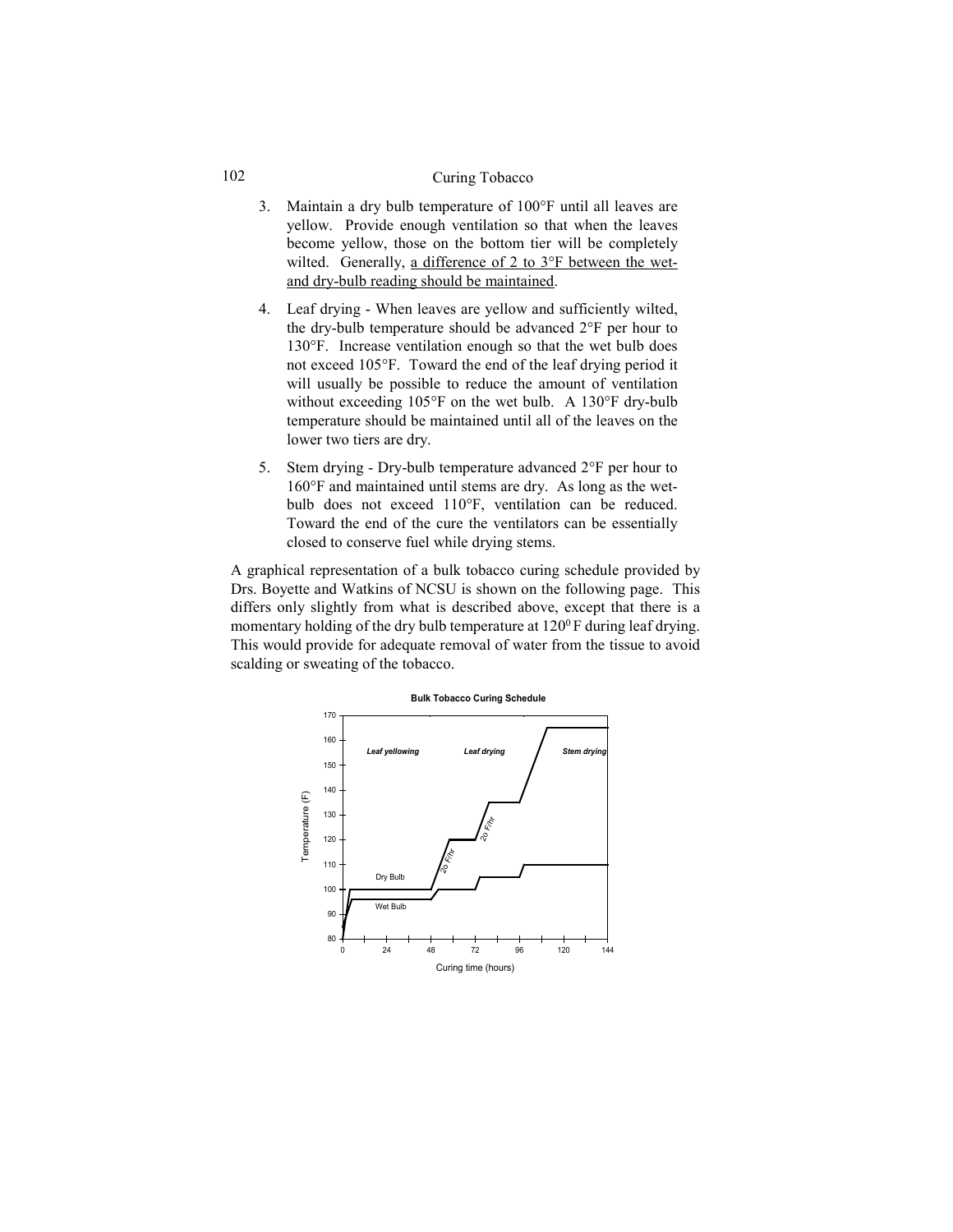#### 102 Curing Tobacco

- 3. Maintain a dry bulb temperature of 100°F until all leaves are yellow. Provide enough ventilation so that when the leaves become yellow, those on the bottom tier will be completely wilted. Generally, a difference of 2 to 3°F between the wetand dry-bulb reading should be maintained.
- 4. Leaf drying When leaves are yellow and sufficiently wilted, the dry-bulb temperature should be advanced 2°F per hour to 130°F. Increase ventilation enough so that the wet bulb does not exceed 105°F. Toward the end of the leaf drying period it will usually be possible to reduce the amount of ventilation without exceeding 105°F on the wet bulb. A 130°F dry-bulb temperature should be maintained until all of the leaves on the lower two tiers are dry.
- 5. Stem drying Dry-bulb temperature advanced 2°F per hour to 160°F and maintained until stems are dry. As long as the wetbulb does not exceed 110°F, ventilation can be reduced. Toward the end of the cure the ventilators can be essentially closed to conserve fuel while drying stems.

A graphical representation of a bulk tobacco curing schedule provided by Drs. Boyette and Watkins of NCSU is shown on the following page. This differs only slightly from what is described above, except that there is a momentary holding of the dry bulb temperature at  $120^0$  F during leaf drying. This would provide for adequate removal of water from the tissue to avoid scalding or sweating of the tobacco.

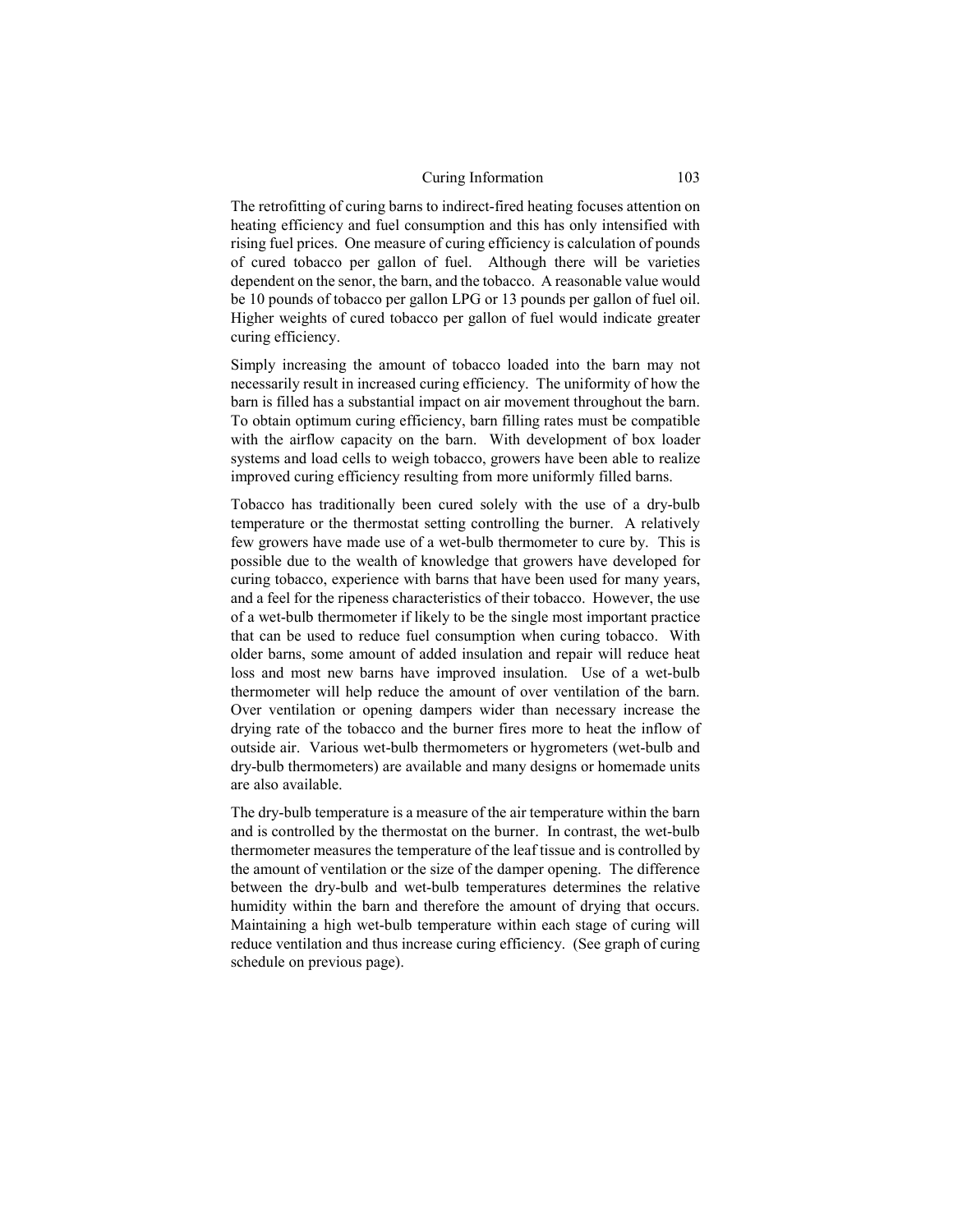#### Curing Information 103

The retrofitting of curing barns to indirect-fired heating focuses attention on heating efficiency and fuel consumption and this has only intensified with rising fuel prices. One measure of curing efficiency is calculation of pounds of cured tobacco per gallon of fuel. Although there will be varieties dependent on the senor, the barn, and the tobacco. A reasonable value would be 10 pounds of tobacco per gallon LPG or 13 pounds per gallon of fuel oil. Higher weights of cured tobacco per gallon of fuel would indicate greater curing efficiency.

Simply increasing the amount of tobacco loaded into the barn may not necessarily result in increased curing efficiency. The uniformity of how the barn is filled has a substantial impact on air movement throughout the barn. To obtain optimum curing efficiency, barn filling rates must be compatible with the airflow capacity on the barn. With development of box loader systems and load cells to weigh tobacco, growers have been able to realize improved curing efficiency resulting from more uniformly filled barns.

Tobacco has traditionally been cured solely with the use of a dry-bulb temperature or the thermostat setting controlling the burner. A relatively few growers have made use of a wet-bulb thermometer to cure by. This is possible due to the wealth of knowledge that growers have developed for curing tobacco, experience with barns that have been used for many years, and a feel for the ripeness characteristics of their tobacco. However, the use of a wet-bulb thermometer if likely to be the single most important practice that can be used to reduce fuel consumption when curing tobacco. With older barns, some amount of added insulation and repair will reduce heat loss and most new barns have improved insulation. Use of a wet-bulb thermometer will help reduce the amount of over ventilation of the barn. Over ventilation or opening dampers wider than necessary increase the drying rate of the tobacco and the burner fires more to heat the inflow of outside air. Various wet-bulb thermometers or hygrometers (wet-bulb and dry-bulb thermometers) are available and many designs or homemade units are also available.

The dry-bulb temperature is a measure of the air temperature within the barn and is controlled by the thermostat on the burner. In contrast, the wet-bulb thermometer measures the temperature of the leaf tissue and is controlled by the amount of ventilation or the size of the damper opening. The difference between the dry-bulb and wet-bulb temperatures determines the relative humidity within the barn and therefore the amount of drying that occurs. Maintaining a high wet-bulb temperature within each stage of curing will reduce ventilation and thus increase curing efficiency. (See graph of curing schedule on previous page).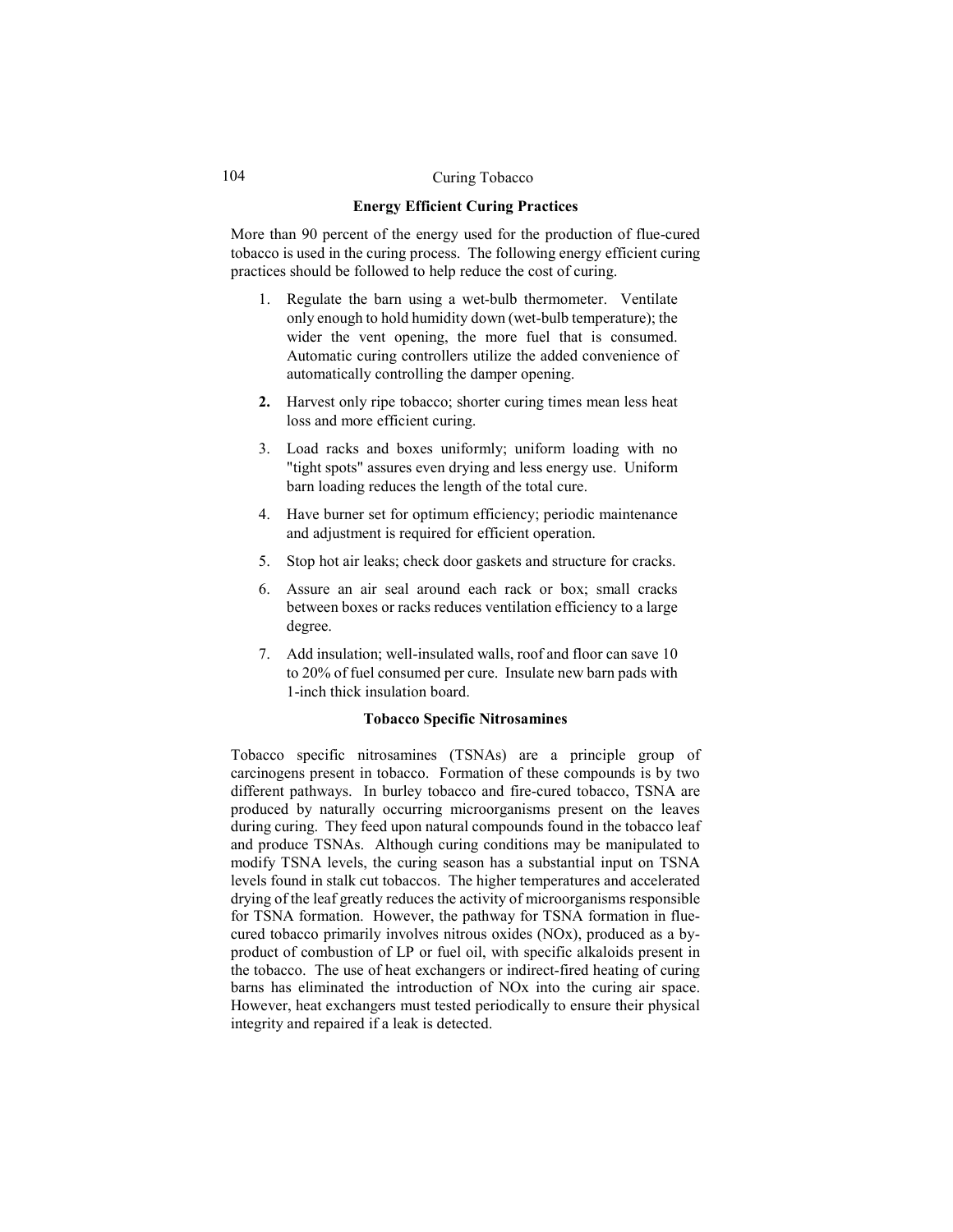#### 104 Curing Tobacco

## **Energy Efficient Curing Practices**

More than 90 percent of the energy used for the production of flue-cured tobacco is used in the curing process. The following energy efficient curing practices should be followed to help reduce the cost of curing.

- 1. Regulate the barn using a wet-bulb thermometer. Ventilate only enough to hold humidity down (wet-bulb temperature); the wider the vent opening, the more fuel that is consumed. Automatic curing controllers utilize the added convenience of automatically controlling the damper opening.
- **2.** Harvest only ripe tobacco; shorter curing times mean less heat loss and more efficient curing.
- 3. Load racks and boxes uniformly; uniform loading with no "tight spots" assures even drying and less energy use. Uniform barn loading reduces the length of the total cure.
- 4. Have burner set for optimum efficiency; periodic maintenance and adjustment is required for efficient operation.
- 5. Stop hot air leaks; check door gaskets and structure for cracks.
- 6. Assure an air seal around each rack or box; small cracks between boxes or racks reduces ventilation efficiency to a large degree.
- 7. Add insulation; well-insulated walls, roof and floor can save 10 to 20% of fuel consumed per cure. Insulate new barn pads with 1-inch thick insulation board.

#### **Tobacco Specific Nitrosamines**

Tobacco specific nitrosamines (TSNAs) are a principle group of carcinogens present in tobacco. Formation of these compounds is by two different pathways. In burley tobacco and fire-cured tobacco, TSNA are produced by naturally occurring microorganisms present on the leaves during curing. They feed upon natural compounds found in the tobacco leaf and produce TSNAs. Although curing conditions may be manipulated to modify TSNA levels, the curing season has a substantial input on TSNA levels found in stalk cut tobaccos. The higher temperatures and accelerated drying of the leaf greatly reduces the activity of microorganisms responsible for TSNA formation. However, the pathway for TSNA formation in fluecured tobacco primarily involves nitrous oxides (NOx), produced as a byproduct of combustion of LP or fuel oil, with specific alkaloids present in the tobacco. The use of heat exchangers or indirect-fired heating of curing barns has eliminated the introduction of NOx into the curing air space. However, heat exchangers must tested periodically to ensure their physical integrity and repaired if a leak is detected.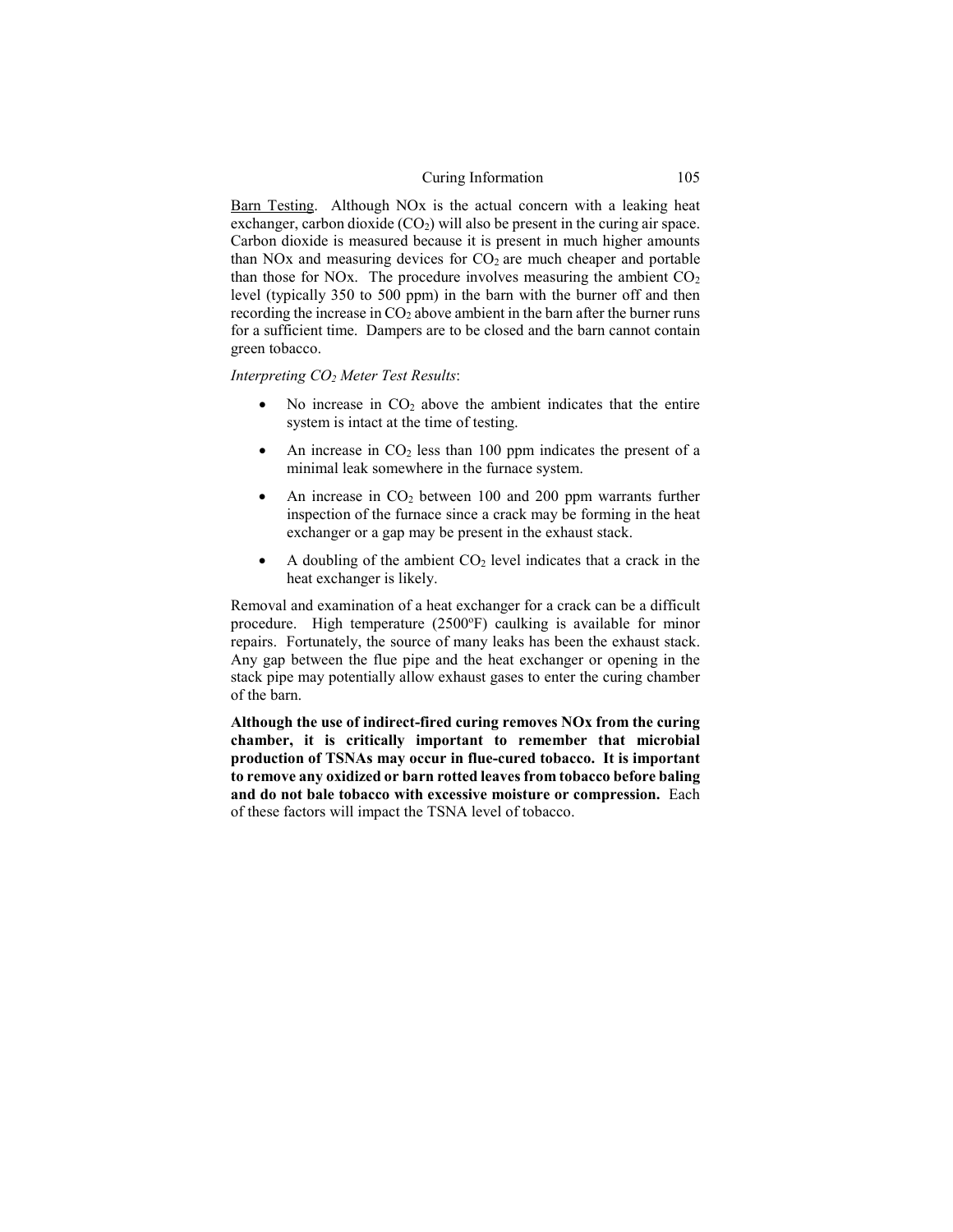#### Curing Information 105

Barn Testing. Although NO<sub>x</sub> is the actual concern with a leaking heat exchanger, carbon dioxide  $(CO<sub>2</sub>)$  will also be present in the curing air space. Carbon dioxide is measured because it is present in much higher amounts than NO<sub>x</sub> and measuring devices for  $CO<sub>2</sub>$  are much cheaper and portable than those for NOx. The procedure involves measuring the ambient  $CO<sub>2</sub>$ level (typically 350 to 500 ppm) in the barn with the burner off and then recording the increase in  $CO<sub>2</sub>$  above ambient in the barn after the burner runs for a sufficient time. Dampers are to be closed and the barn cannot contain green tobacco.

*Interpreting CO2 Meter Test Results*:

- No increase in  $CO<sub>2</sub>$  above the ambient indicates that the entire system is intact at the time of testing.
- An increase in  $CO<sub>2</sub>$  less than 100 ppm indicates the present of a minimal leak somewhere in the furnace system.
- An increase in  $CO<sub>2</sub>$  between 100 and 200 ppm warrants further inspection of the furnace since a crack may be forming in the heat exchanger or a gap may be present in the exhaust stack.
- A doubling of the ambient  $CO<sub>2</sub>$  level indicates that a crack in the heat exchanger is likely.

Removal and examination of a heat exchanger for a crack can be a difficult procedure. High temperature (2500°F) caulking is available for minor repairs. Fortunately, the source of many leaks has been the exhaust stack. Any gap between the flue pipe and the heat exchanger or opening in the stack pipe may potentially allow exhaust gases to enter the curing chamber of the barn.

**Although the use of indirect-fired curing removes NOx from the curing chamber, it is critically important to remember that microbial production of TSNAs may occur in flue-cured tobacco. It is important to remove any oxidized or barn rotted leaves from tobacco before baling and do not bale tobacco with excessive moisture or compression.** Each of these factors will impact the TSNA level of tobacco.